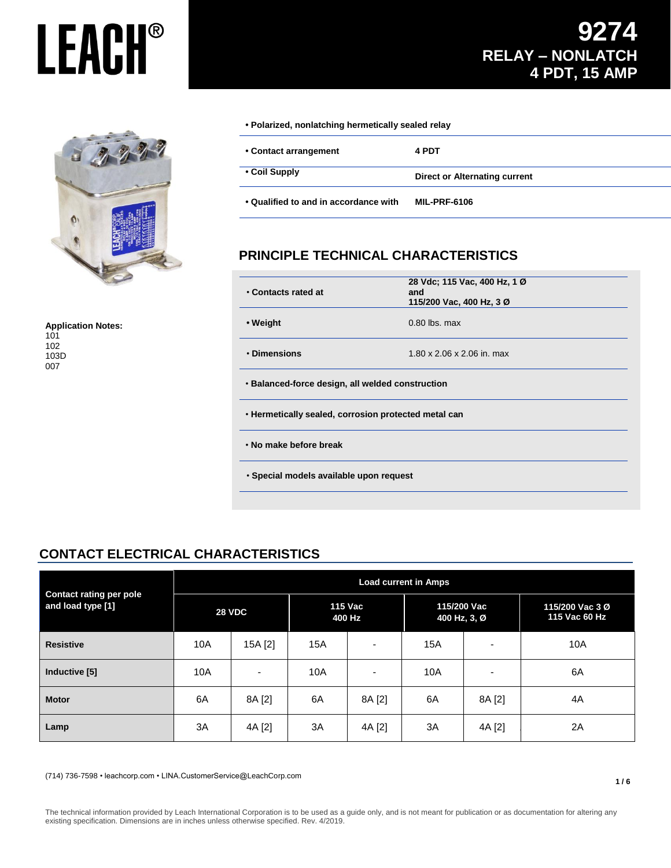

**Application Notes:** 101 102 103D 007

**• Polarized, nonlatching hermetically sealed relay**

| • Contact arrangement                 | 4 PDT                         |  |
|---------------------------------------|-------------------------------|--|
| • Coil Supply                         | Direct or Alternating current |  |
| • Qualified to and in accordance with | <b>MIL-PRF-6106</b>           |  |

## **PRINCIPLE TECHNICAL CHARACTERISTICS**

| • Contacts rated at                                  | 28 Vdc; 115 Vac, 400 Hz, 1 Ø<br>and<br>115/200 Vac, 400 Hz, 3 Ø |  |  |  |
|------------------------------------------------------|-----------------------------------------------------------------|--|--|--|
| • Weight<br>$0.80$ lbs. max                          |                                                                 |  |  |  |
| • Dimensions                                         | 1.80 x 2.06 x 2.06 in. max                                      |  |  |  |
| • Balanced-force design, all welded construction     |                                                                 |  |  |  |
| . Hermetically sealed, corrosion protected metal can |                                                                 |  |  |  |
| . No make before break                               |                                                                 |  |  |  |
| • Special models available upon request              |                                                                 |  |  |  |

## **CONTACT ELECTRICAL CHARACTERISTICS**

| <b>Contact rating per pole</b><br>and load type [1] | <b>Load current in Amps</b> |                          |                          |                          |                             |        |                                  |
|-----------------------------------------------------|-----------------------------|--------------------------|--------------------------|--------------------------|-----------------------------|--------|----------------------------------|
|                                                     | <b>28 VDC</b>               |                          | <b>115 Vac</b><br>400 Hz |                          | 115/200 Vac<br>400 Hz, 3, Ø |        | 115/200 Vac 3 Ø<br>115 Vac 60 Hz |
| <b>Resistive</b>                                    | 10A                         | 15A [2]                  | 15A                      | $\overline{a}$           | 15A                         | ۰      | 10A                              |
| Inductive [5]                                       | 10A                         | $\overline{\phantom{a}}$ | 10A                      | $\overline{\phantom{0}}$ | 10A                         | -      | 6A                               |
| <b>Motor</b>                                        | 6A                          | 8A [2]                   | 6A                       | 8A [2]                   | 6A                          | 8A [2] | 4A                               |
| Lamp                                                | 3A                          | 4A [2]                   | 3A                       | 4A [2]                   | 3A                          | 4A [2] | 2A                               |

(714) 736-7598 • leachcorp.com • LINA.CustomerService@LeachCorp.com

The technical information provided by Leach International Corporation is to be used as a guide only, and is not meant for publication or as documentation for altering any existing specification. Dimensions are in inches unless otherwise specified. Rev. 4/2019.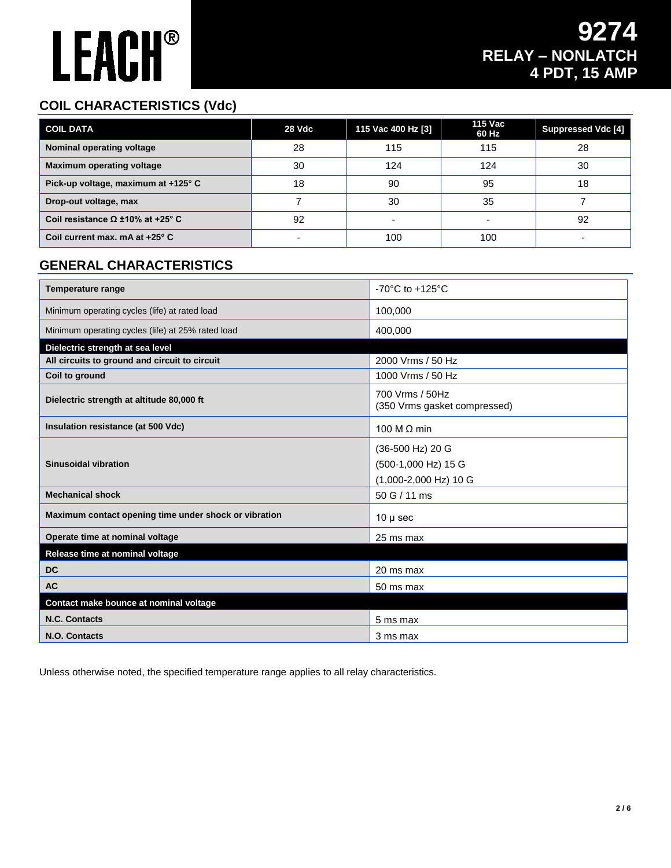## **COIL CHARACTERISTICS (Vdc)**

| <b>COIL DATA</b>                        | 28 Vdc | 115 Vac 400 Hz [3] | 115 Vac<br>60 Hz | <b>Suppressed Vdc [4]</b> |
|-----------------------------------------|--------|--------------------|------------------|---------------------------|
| Nominal operating voltage               | 28     | 115                | 115              | 28                        |
| <b>Maximum operating voltage</b>        | 30     | 124                | 124              | 30                        |
| Pick-up voltage, maximum at +125° C     | 18     | 90                 | 95               | 18                        |
| Drop-out voltage, max                   |        | 30                 | 35               |                           |
| Coil resistance $\Omega$ ±10% at +25° C | 92     |                    |                  | 92                        |
| Coil current max. mA at $+25^\circ$ C   |        | 100                | 100              |                           |

## **GENERAL CHARACTERISTICS**

| <b>Temperature range</b>                              | $-70^{\circ}$ C to $+125^{\circ}$ C                              |
|-------------------------------------------------------|------------------------------------------------------------------|
| Minimum operating cycles (life) at rated load         | 100,000                                                          |
| Minimum operating cycles (life) at 25% rated load     | 400,000                                                          |
| Dielectric strength at sea level                      |                                                                  |
| All circuits to ground and circuit to circuit         | 2000 Vrms / 50 Hz                                                |
| Coil to ground                                        | 1000 Vrms / 50 Hz                                                |
| Dielectric strength at altitude 80,000 ft             | 700 Vrms / 50Hz<br>(350 Vrms gasket compressed)                  |
| Insulation resistance (at 500 Vdc)                    | 100 M $\Omega$ min                                               |
| <b>Sinusoidal vibration</b>                           | (36-500 Hz) 20 G<br>(500-1,000 Hz) 15 G<br>(1,000-2,000 Hz) 10 G |
| <b>Mechanical shock</b>                               | 50 G / 11 ms                                                     |
| Maximum contact opening time under shock or vibration | $10 \mu$ sec                                                     |
| Operate time at nominal voltage                       | 25 ms max                                                        |
| Release time at nominal voltage                       |                                                                  |
| <b>DC</b>                                             | 20 ms max                                                        |
| <b>AC</b>                                             | 50 ms max                                                        |
| Contact make bounce at nominal voltage                |                                                                  |
| N.C. Contacts                                         | 5 ms max                                                         |
| N.O. Contacts                                         | 3 ms max                                                         |

Unless otherwise noted, the specified temperature range applies to all relay characteristics.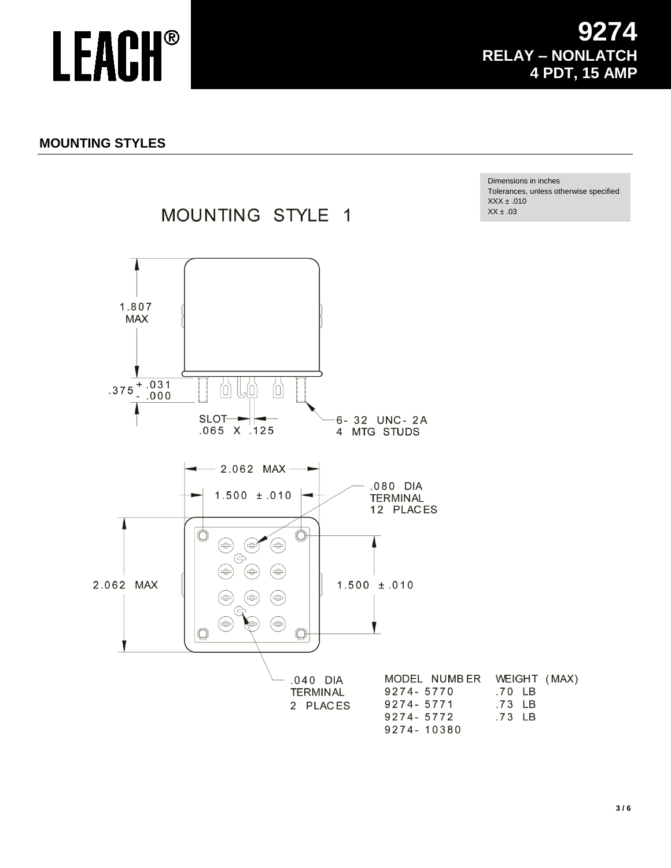## **MOUNTING STYLES**

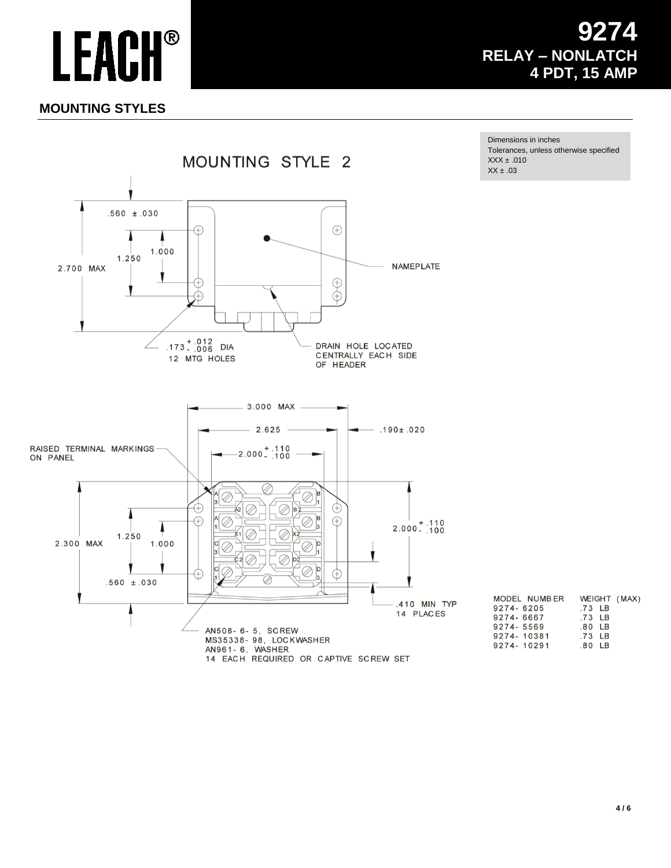## 4 **RELAY - NONLATCH** 4 PDT, 15 AMP

## **MOUNTING STYLES**

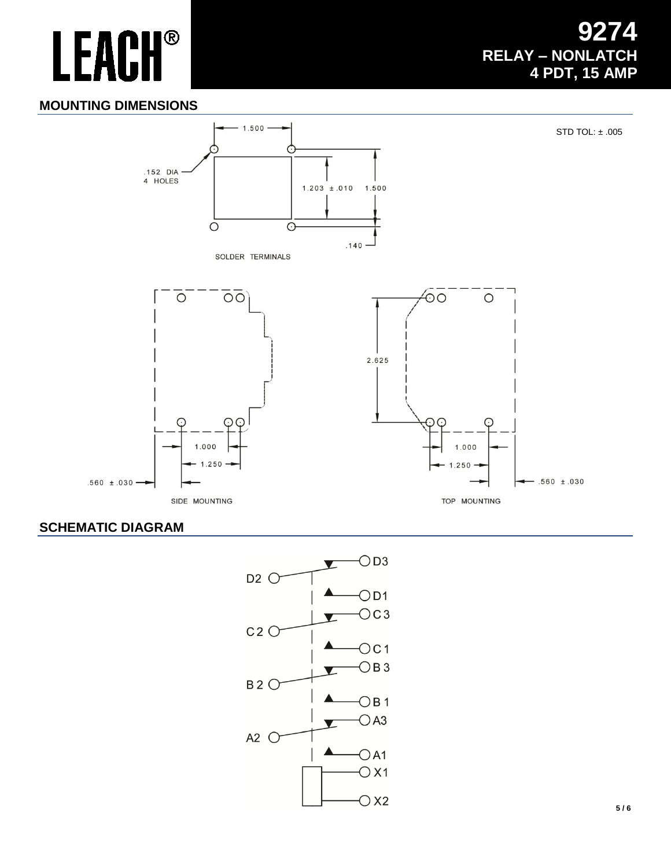## 4 **RELAY - NONLATCH** 4 PDT, 15 AMP

### **MOUNTING DIMENSIONS**



### **SCHEMATIC DIAGRAM**